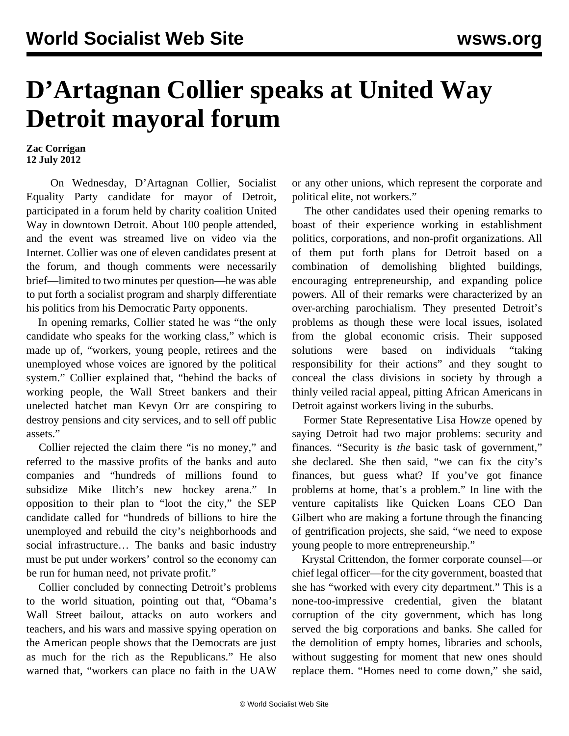## **D'Artagnan Collier speaks at United Way Detroit mayoral forum**

## **Zac Corrigan 12 July 2012**

 On Wednesday, D'Artagnan Collier, Socialist Equality Party candidate for mayor of Detroit, participated in a forum held by charity coalition United Way in downtown Detroit. About 100 people attended, and the event was streamed live on video via the Internet. Collier was one of eleven candidates present at the forum, and though comments were necessarily brief—limited to two minutes per question—he was able to put forth a socialist program and sharply differentiate his politics from his Democratic Party opponents.

 In opening remarks, Collier stated he was "the only candidate who speaks for the working class," which is made up of, "workers, young people, retirees and the unemployed whose voices are ignored by the political system." Collier explained that, "behind the backs of working people, the Wall Street bankers and their unelected hatchet man Kevyn Orr are conspiring to destroy pensions and city services, and to sell off public assets."

 Collier rejected the claim there "is no money," and referred to the massive profits of the banks and auto companies and "hundreds of millions found to subsidize Mike Ilitch's new hockey arena." In opposition to their plan to "loot the city," the SEP candidate called for "hundreds of billions to hire the unemployed and rebuild the city's neighborhoods and social infrastructure… The banks and basic industry must be put under workers' control so the economy can be run for human need, not private profit."

 Collier concluded by connecting Detroit's problems to the world situation, pointing out that, "Obama's Wall Street bailout, attacks on auto workers and teachers, and his wars and massive spying operation on the American people shows that the Democrats are just as much for the rich as the Republicans." He also warned that, "workers can place no faith in the UAW or any other unions, which represent the corporate and political elite, not workers."

 The other candidates used their opening remarks to boast of their experience working in establishment politics, corporations, and non-profit organizations. All of them put forth plans for Detroit based on a combination of demolishing blighted buildings, encouraging entrepreneurship, and expanding police powers. All of their remarks were characterized by an over-arching parochialism. They presented Detroit's problems as though these were local issues, isolated from the global economic crisis. Their supposed solutions were based on individuals "taking responsibility for their actions" and they sought to conceal the class divisions in society by through a thinly veiled racial appeal, pitting African Americans in Detroit against workers living in the suburbs.

 Former State Representative Lisa Howze opened by saying Detroit had two major problems: security and finances. "Security is *the* basic task of government," she declared. She then said, "we can fix the city's finances, but guess what? If you've got finance problems at home, that's a problem." In line with the venture capitalists like Quicken Loans CEO Dan Gilbert who are making a fortune through the financing of gentrification projects, she said, "we need to expose young people to more entrepreneurship."

 Krystal Crittendon, the former corporate counsel—or chief legal officer—for the city government, boasted that she has "worked with every city department." This is a none-too-impressive credential, given the blatant corruption of the city government, which has long served the big corporations and banks. She called for the demolition of empty homes, libraries and schools, without suggesting for moment that new ones should replace them. "Homes need to come down," she said,